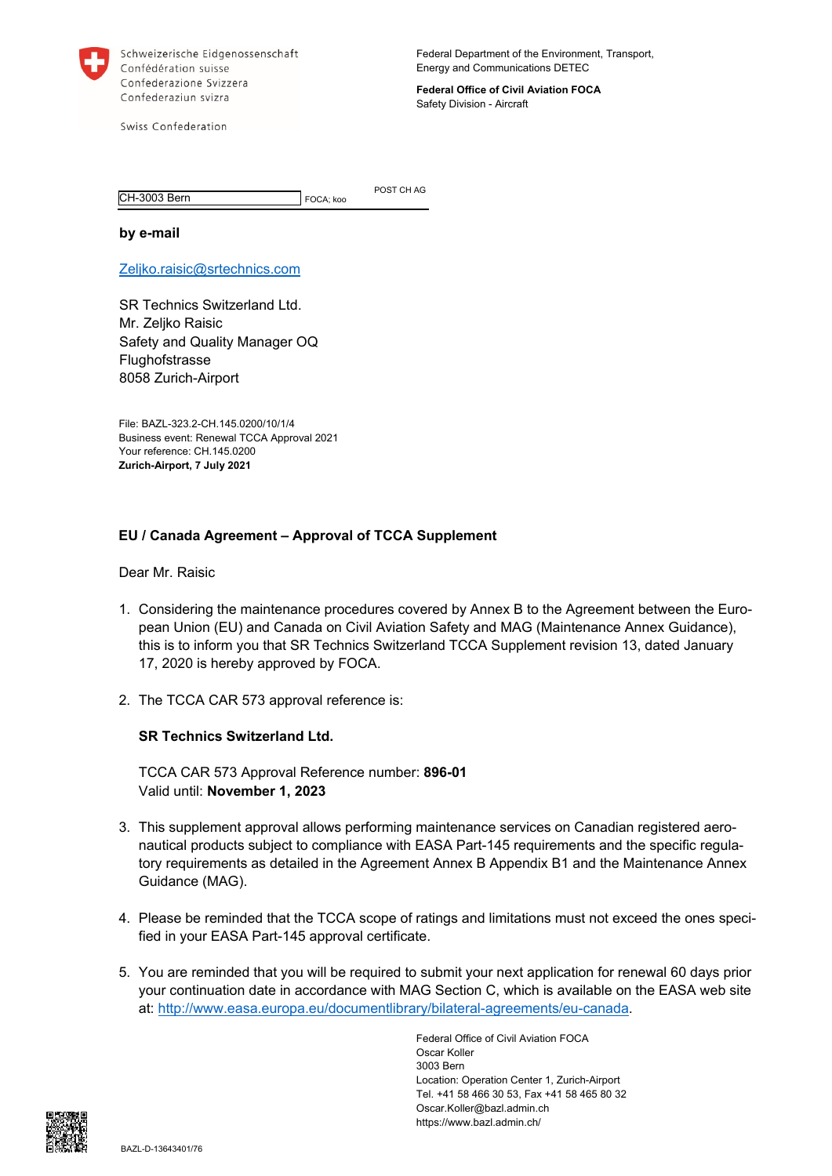

Schweizerische Eidgenossenschaft Confédération suisse Confederazione Svizzera Confederaziun svizra

Federal Department of the Environment, Transport, Energy and Communications DETEC

**Federal Office of Civil Aviation FOCA**  Safety Division - Aircraft

Swiss Confederation

CH-3003 Bern FOCA; koo

POST CH AG

**by e-mail** 

Zeljko.raisic@srtechnics.com

SR Technics Switzerland Ltd. Mr. Zeljko Raisic Safety and Quality Manager OQ Flughofstrasse 8058 Zurich-Airport

File: BAZL-323.2-CH.145.0200/10/1/4 Business event: Renewal TCCA Approval 2021 Your reference: CH.145.0200 **Zurich-Airport, 7 July 2021** 

## **EU / Canada Agreement – Approval of TCCA Supplement**

Dear Mr. Raisic

- 1. Considering the maintenance procedures covered by Annex B to the Agreement between the European Union (EU) and Canada on Civil Aviation Safety and MAG (Maintenance Annex Guidance), this is to inform you that SR Technics Switzerland TCCA Supplement revision 13, dated January 17, 2020 is hereby approved by FOCA.
- 2. The TCCA CAR 573 approval reference is:

## **SR Technics Switzerland Ltd.**

TCCA CAR 573 Approval Reference number: **896-01**  Valid until: **November 1, 2023** 

- 3. This supplement approval allows performing maintenance services on Canadian registered aeronautical products subject to compliance with EASA Part-145 requirements and the specific regulatory requirements as detailed in the Agreement Annex B Appendix B1 and the Maintenance Annex Guidance (MAG).
- 4. Please be reminded that the TCCA scope of ratings and limitations must not exceed the ones specified in your EASA Part-145 approval certificate.
- 5. You are reminded that you will be required to submit your next application for renewal 60 days prior your continuation date in accordance with MAG Section C, which is available on the EASA web site at: http://www.easa.europa.eu/documentlibrary/bilateral-agreements/eu-canada.

Federal Office of Civil Aviation FOCA Oscar Koller 3003 Bern Location: Operation Center 1, Zurich-Airport Tel. +41 58 466 30 53, Fax +41 58 465 80 32 Oscar.Koller@bazl.admin.ch https://www.bazl.admin.ch/